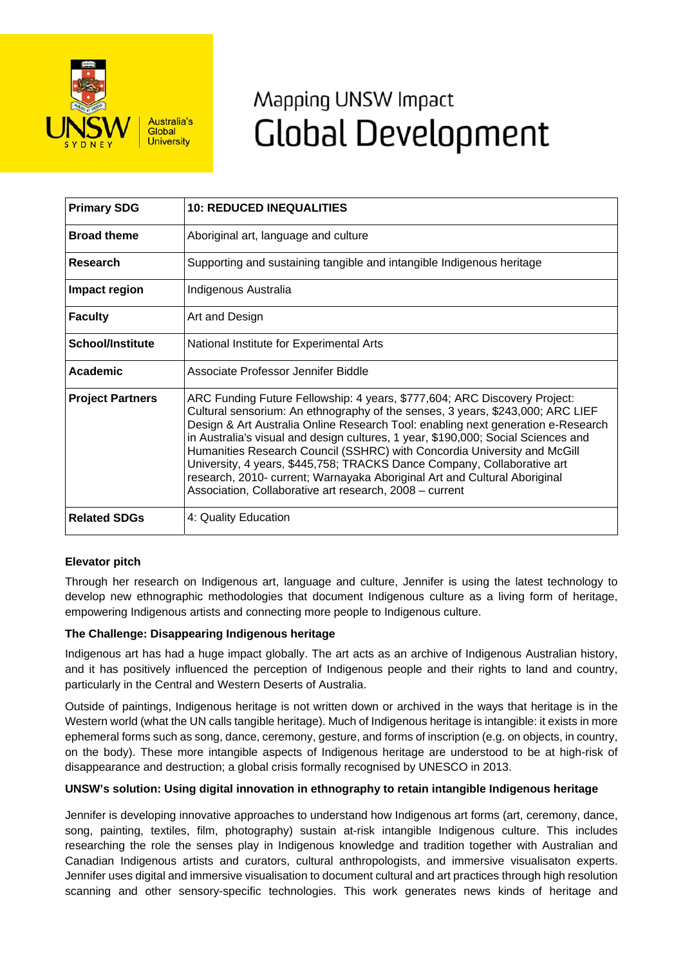

# Mapping UNSW Impact **Global Development**

| <b>Primary SDG</b>      | <b>10: REDUCED INEQUALITIES</b>                                                                                                                                                                                                                                                                                                                                                                                                                                                                                                                                                                                                     |
|-------------------------|-------------------------------------------------------------------------------------------------------------------------------------------------------------------------------------------------------------------------------------------------------------------------------------------------------------------------------------------------------------------------------------------------------------------------------------------------------------------------------------------------------------------------------------------------------------------------------------------------------------------------------------|
| <b>Broad theme</b>      | Aboriginal art, language and culture                                                                                                                                                                                                                                                                                                                                                                                                                                                                                                                                                                                                |
| Research                | Supporting and sustaining tangible and intangible Indigenous heritage                                                                                                                                                                                                                                                                                                                                                                                                                                                                                                                                                               |
| Impact region           | Indigenous Australia                                                                                                                                                                                                                                                                                                                                                                                                                                                                                                                                                                                                                |
| <b>Faculty</b>          | Art and Design                                                                                                                                                                                                                                                                                                                                                                                                                                                                                                                                                                                                                      |
| <b>School/Institute</b> | National Institute for Experimental Arts                                                                                                                                                                                                                                                                                                                                                                                                                                                                                                                                                                                            |
| Academic                | Associate Professor Jennifer Biddle                                                                                                                                                                                                                                                                                                                                                                                                                                                                                                                                                                                                 |
| <b>Project Partners</b> | ARC Funding Future Fellowship: 4 years, \$777,604; ARC Discovery Project:<br>Cultural sensorium: An ethnography of the senses, 3 years, \$243,000; ARC LIEF<br>Design & Art Australia Online Research Tool: enabling next generation e-Research<br>in Australia's visual and design cultures, 1 year, \$190,000; Social Sciences and<br>Humanities Research Council (SSHRC) with Concordia University and McGill<br>University, 4 years, \$445,758; TRACKS Dance Company, Collaborative art<br>research, 2010- current; Warnayaka Aboriginal Art and Cultural Aboriginal<br>Association, Collaborative art research, 2008 - current |
| <b>Related SDGs</b>     | 4: Quality Education                                                                                                                                                                                                                                                                                                                                                                                                                                                                                                                                                                                                                |

## **Elevator pitch**

Through her research on Indigenous art, language and culture, Jennifer is using the latest technology to develop new ethnographic methodologies that document Indigenous culture as a living form of heritage, empowering Indigenous artists and connecting more people to Indigenous culture.

## **The Challenge: Disappearing Indigenous heritage**

Indigenous art has had a huge impact globally. The art acts as an archive of Indigenous Australian history, and it has positively influenced the perception of Indigenous people and their rights to land and country, particularly in the Central and Western Deserts of Australia.

Outside of paintings, Indigenous heritage is not written down or archived in the ways that heritage is in the Western world (what the UN calls tangible heritage). Much of Indigenous heritage is intangible: it exists in more ephemeral forms such as song, dance, ceremony, gesture, and forms of inscription (e.g. on objects, in country, on the body). These more intangible aspects of Indigenous heritage are understood to be at high-risk of disappearance and destruction; a global crisis formally recognised by UNESCO in 2013.

## **UNSW's solution: Using digital innovation in ethnography to retain intangible Indigenous heritage**

Jennifer is developing innovative approaches to understand how Indigenous art forms (art, ceremony, dance, song, painting, textiles, film, photography) sustain at-risk intangible Indigenous culture. This includes researching the role the senses play in Indigenous knowledge and tradition together with Australian and Canadian Indigenous artists and curators, cultural anthropologists, and immersive visualisaton experts. Jennifer uses digital and immersive visualisation to document cultural and art practices through high resolution scanning and other sensory-specific technologies. This work generates news kinds of heritage and